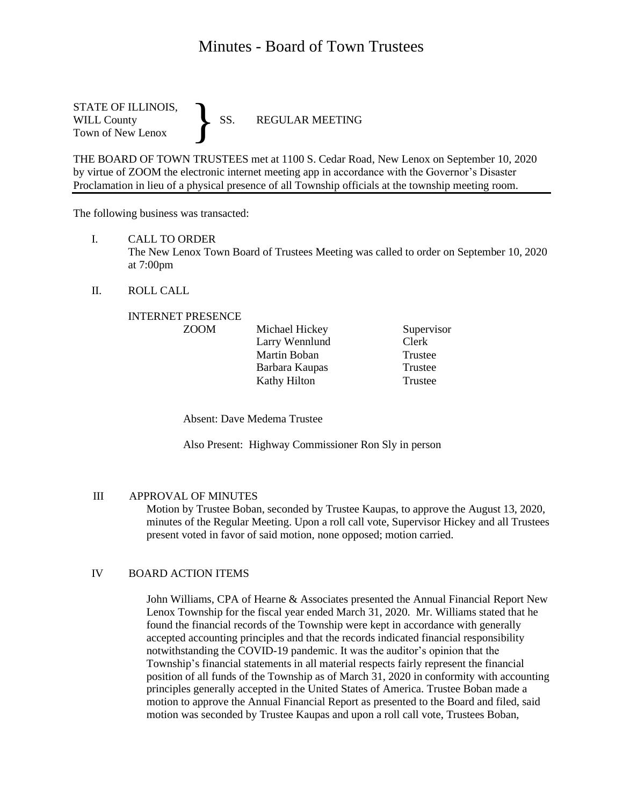# Minutes - Board of Town Trustees

STATE OF ILLINOIS,<br>WILL County SS. WILL County SS. REGULAR MEETING Town of New Lenox }

THE BOARD OF TOWN TRUSTEES met at 1100 S. Cedar Road, New Lenox on September 10, 2020 by virtue of ZOOM the electronic internet meeting app in accordance with the Governor's Disaster Proclamation in lieu of a physical presence of all Township officials at the township meeting room.

The following business was transacted:

I. CALL TO ORDER

The New Lenox Town Board of Trustees Meeting was called to order on September 10, 2020 at 7:00pm

II. ROLL CALL

### INTERNET PRESENCE

| <b>ZOOM</b> | Michael Hickey | Supervisor |
|-------------|----------------|------------|
|             | Larry Wennlund | Clerk      |
|             | Martin Boban   | Trustee    |
|             | Barbara Kaupas | Trustee    |
|             | Kathy Hilton   | Trustee    |

Absent: Dave Medema Trustee

Also Present: Highway Commissioner Ron Sly in person

### III APPROVAL OF MINUTES

Motion by Trustee Boban, seconded by Trustee Kaupas, to approve the August 13, 2020, minutes of the Regular Meeting. Upon a roll call vote, Supervisor Hickey and all Trustees present voted in favor of said motion, none opposed; motion carried.

# IV BOARD ACTION ITEMS

John Williams, CPA of Hearne & Associates presented the Annual Financial Report New Lenox Township for the fiscal year ended March 31, 2020. Mr. Williams stated that he found the financial records of the Township were kept in accordance with generally accepted accounting principles and that the records indicated financial responsibility notwithstanding the COVID-19 pandemic. It was the auditor's opinion that the Township's financial statements in all material respects fairly represent the financial position of all funds of the Township as of March 31, 2020 in conformity with accounting principles generally accepted in the United States of America. Trustee Boban made a motion to approve the Annual Financial Report as presented to the Board and filed, said motion was seconded by Trustee Kaupas and upon a roll call vote, Trustees Boban,